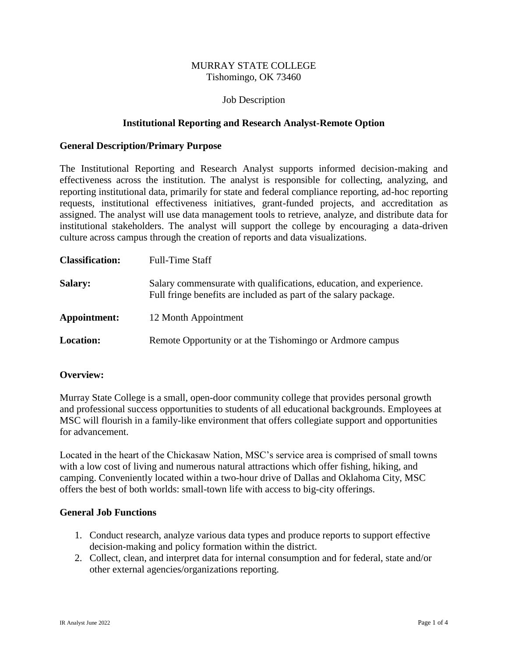## MURRAY STATE COLLEGE Tishomingo, OK 73460

## Job Description

## **Institutional Reporting and Research Analyst-Remote Option**

## **General Description/Primary Purpose**

The Institutional Reporting and Research Analyst supports informed decision-making and effectiveness across the institution. The analyst is responsible for collecting, analyzing, and reporting institutional data, primarily for state and federal compliance reporting, ad-hoc reporting requests, institutional effectiveness initiatives, grant-funded projects, and accreditation as assigned. The analyst will use data management tools to retrieve, analyze, and distribute data for institutional stakeholders. The analyst will support the college by encouraging a data-driven culture across campus through the creation of reports and data visualizations.

| <b>Classification:</b> | Full-Time Staff                                                                                                                         |
|------------------------|-----------------------------------------------------------------------------------------------------------------------------------------|
| <b>Salary:</b>         | Salary commensurate with qualifications, education, and experience.<br>Full fringe benefits are included as part of the salary package. |
| Appointment:           | 12 Month Appointment                                                                                                                    |
| <b>Location:</b>       | Remote Opportunity or at the Tishomingo or Ardmore campus                                                                               |

### **Overview:**

Murray State College is a small, open-door community college that provides personal growth and professional success opportunities to students of all educational backgrounds. Employees at MSC will flourish in a family-like environment that offers collegiate support and opportunities for advancement.

Located in the heart of the Chickasaw Nation, MSC's service area is comprised of small towns with a low cost of living and numerous natural attractions which offer fishing, hiking, and camping. Conveniently located within a two-hour drive of Dallas and Oklahoma City, MSC offers the best of both worlds: small-town life with access to big-city offerings.

## **General Job Functions**

- 1. Conduct research, analyze various data types and produce reports to support effective decision-making and policy formation within the district.
- 2. Collect, clean, and interpret data for internal consumption and for federal, state and/or other external agencies/organizations reporting.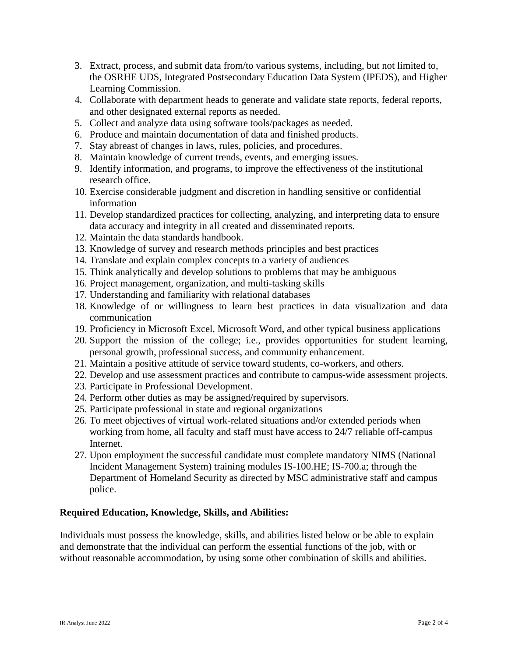- 3. Extract, process, and submit data from/to various systems, including, but not limited to, the OSRHE UDS, Integrated Postsecondary Education Data System (IPEDS), and Higher Learning Commission.
- 4. Collaborate with department heads to generate and validate state reports, federal reports, and other designated external reports as needed.
- 5. Collect and analyze data using software tools/packages as needed.
- 6. Produce and maintain documentation of data and finished products.
- 7. Stay abreast of changes in laws, rules, policies, and procedures.
- 8. Maintain knowledge of current trends, events, and emerging issues.
- 9. Identify information, and programs, to improve the effectiveness of the institutional research office.
- 10. Exercise considerable judgment and discretion in handling sensitive or confidential information
- 11. Develop standardized practices for collecting, analyzing, and interpreting data to ensure data accuracy and integrity in all created and disseminated reports.
- 12. Maintain the data standards handbook.
- 13. Knowledge of survey and research methods principles and best practices
- 14. Translate and explain complex concepts to a variety of audiences
- 15. Think analytically and develop solutions to problems that may be ambiguous
- 16. Project management, organization, and multi-tasking skills
- 17. Understanding and familiarity with relational databases
- 18. Knowledge of or willingness to learn best practices in data visualization and data communication
- 19. Proficiency in Microsoft Excel, Microsoft Word, and other typical business applications
- 20. Support the mission of the college; i.e., provides opportunities for student learning, personal growth, professional success, and community enhancement.
- 21. Maintain a positive attitude of service toward students, co-workers, and others.
- 22. Develop and use assessment practices and contribute to campus-wide assessment projects.
- 23. Participate in Professional Development.
- 24. Perform other duties as may be assigned/required by supervisors.
- 25. Participate professional in state and regional organizations
- 26. To meet objectives of virtual work-related situations and/or extended periods when working from home, all faculty and staff must have access to 24/7 reliable off-campus Internet.
- 27. Upon employment the successful candidate must complete mandatory NIMS (National Incident Management System) training modules IS-100.HE; IS-700.a; through the Department of Homeland Security as directed by MSC administrative staff and campus police.

## **Required Education, Knowledge, Skills, and Abilities:**

Individuals must possess the knowledge, skills, and abilities listed below or be able to explain and demonstrate that the individual can perform the essential functions of the job, with or without reasonable accommodation, by using some other combination of skills and abilities.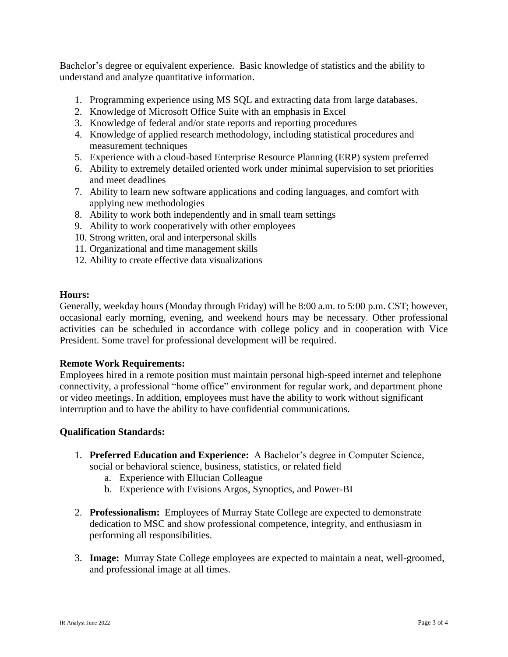Bachelor's degree or equivalent experience. Basic knowledge of statistics and the ability to understand and analyze quantitative information.

- 1. Programming experience using MS SQL and extracting data from large databases.
- 2. Knowledge of Microsoft Office Suite with an emphasis in Excel
- 3. Knowledge of federal and/or state reports and reporting procedures
- 4. Knowledge of applied research methodology, including statistical procedures and measurement techniques
- 5. Experience with a cloud-based Enterprise Resource Planning (ERP) system preferred
- 6. Ability to extremely detailed oriented work under minimal supervision to set priorities and meet deadlines
- 7. Ability to learn new software applications and coding languages, and comfort with applying new methodologies
- 8. Ability to work both independently and in small team settings
- 9. Ability to work cooperatively with other employees
- 10. Strong written, oral and interpersonal skills
- 11. Organizational and time management skills
- 12. Ability to create effective data visualizations

### **Hours:**

Generally, weekday hours (Monday through Friday) will be 8:00 a.m. to 5:00 p.m. CST; however, occasional early morning, evening, and weekend hours may be necessary. Other professional activities can be scheduled in accordance with college policy and in cooperation with Vice President. Some travel for professional development will be required.

### **Remote Work Requirements:**

Employees hired in a remote position must maintain personal high-speed internet and telephone connectivity, a professional "home office" environment for regular work, and department phone or video meetings. In addition, employees must have the ability to work without significant interruption and to have the ability to have confidential communications.

### **Qualification Standards:**

- 1. **Preferred Education and Experience:** A Bachelor's degree in Computer Science, social or behavioral science, business, statistics, or related field
	- a. Experience with Ellucian Colleague
	- b. Experience with Evisions Argos, Synoptics, and Power-BI
- 2. **Professionalism:** Employees of Murray State College are expected to demonstrate dedication to MSC and show professional competence, integrity, and enthusiasm in performing all responsibilities.
- 3. **Image:** Murray State College employees are expected to maintain a neat, well-groomed, and professional image at all times.